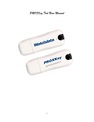*PROXKey Tool User Manual*

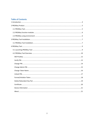## **Table of Contents**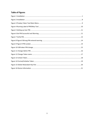## **Table of Figures**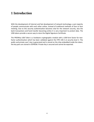# **1 Introduction**

With the development of Internet and fast development of network technology a vast majority of people communicate with each other online, instead of traditional methods of face to face meeting. Due to this security authentication becomes vital for the network security, also the bank transactions and fund transfer becoming online it is very important to protect data. The USB tokens provide a secure way to store the Digital Signature Certificate.

The PROXKey USB Token is a hardware cryptographic module with a USB form factor for twofactor authentication which has been validated against the FIPS 140-2 at security level 2. The public and private user's key is generated and is stored on the chip embedded inside the token; the key pairs are stored in EEPROM. Private Key is secured and cannot be exported.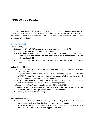## **2PROXKey Product**

In internet applications, like e-business, e-government, network communication and e transaction, it is very important to ensure the information security. PROXKey Product is developed as a solution of this security problem. It provides a convenient and reliable secure environment for customers.

## **2.1 PROXKey Tool**

#### **High in security**

- 1. Supporting 2048 bits RSA asymmetric cryptographic algorithms and SHA2.
- 2. Supporting password and hardware authentication.
- 3. Hardware device provide secure memory space which can be used to store password, private key and other secret data. The secret data is not exportable; the hardware device is not replicable.
- 4. Secure and reliable. All encryptions and decryptions are operated inside the PROXKey device.

#### **Uniformity specification**

- 1. Following the worldwide universal standards: PKCS#11 v2.1 specification and Microsoft CSP 2.0 specification.
- 2. Completely realized the security communication functions supported by SSL and S/MIME. The specification covers application and storage of digital certificate, digital signature and verification, encryption/decryption, etc.
- 3. Using standard interface to connect with browsers, the communications is strictly abiding browser's secure communication operating regulations.
- 4. Supporting certificate's interoperability between CSP and PKCS#11.
- 5. Supporting certificate application and secure email exchange in the environment of IE/Outlook, Foxmail, NetScape, Mozilla and Firefox/Thunderbird.
- 6. Supporting X. 509 v3 certificate storage.

#### **Excellent compatibility**

- 1. No need to install special PROXKey driver, the driver integrated inside the Windows Operating System is used there by eliminating the driver installation.
- 2. The hardware is a kind of USB device which is following USB1.1/USB 2.0 specification. It can be used conveniently in every USB supported facilities.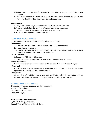- 4. Uniform interfaces are used for UDK devices. One suite can supports both HID and UDK devices.
- 5. The UI is supported in Windows/ME/2000/2003/XP/Vista/Windows7/Windows 8 and Windows 8.1/ Linux Operating Systems are all supporting.

### **Flexible design**

- 1. Using modularized design to meet customer's dedicated requirements.
- 2. A convenient platform for user's certificates management is provided.
- 3. UI (User Interface) is designed up to customer's requirements.
- 4. Secondary development interface is provided.

## **2.2PROXKey function modules**

PROXKey network security suite includes the following 5 modules:

## **CSP module:**

- 1. It is a basic interface module based on Microsoft CSP2.0 specification.
- 2. It is configured at registry.
- 3. It can be used in IE browser, Outlook and Foxmail for certificate application, security website visitation and security email service, etc.

#### **PKCS#11 Module:**

- 1. Supporting PKCS#11 v2.1 interface.
- 2. It is applicable in NetScape/Mozilla browser and ThunderBird email server.

## **Administrator's tool:**

It provides functions of key initialization, certificate operation and PIN operation, etc.

## **User's tool:**

It provides not only PIN operations of verification and modification, but also certificate operations of checking and installation/uninstall.

## **Background:**

At the time of PROXKey plug in and out, certificate registration/revocation will be automatically done, and application programs will automatically start and end.

## **2.3 PROXKey using environment**

The supporting operating systems are shown as below: WIN XP SP2 and above WIN 2000/2003/2008 Server WINDOWS 7, 8, 8.1

## **The supporting software includes:**

IE/Mozilla/Netscape/ browsers. Outlook/Foxmail/ThunderBird email clients.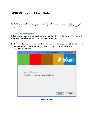# **3PROXKey Tool Installation**

The PROXKey comes with the Autorun supported ND (No Driver) feature. User can install the PROXKey tool just by plugging the token into the USB slot, the installation and details of the PROXKey tool is explained in detail below.

## **3.1 PROXKey Tool Installation**

To begin with the installation just plug in the token into the USB slot of the Laptop or PC, the Autorun supported product will automatically install PROXKey tool on the system

1. Once the token is plugged into the USB slot the Autorun features asks for the installation of the token management tool as shown in the Figure 1, just click the install button to proceed with the installation of the software.



**Figure 1 Installation**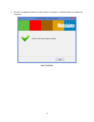2. The token management software installs as shown in the Figure 2, clickfinish button to complete the installation.

| $\times$<br>Install PROXKey Token Admin    |
|--------------------------------------------|
| Watchdata                                  |
| PROXKey Token Admin installed successfully |
| <br>Finish<br>                             |

**Figure 1Installation**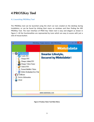# **4 PROXKey Tool**

## **4.1 Launching PROXKey Tool**

The PROXKey tool can be launched using the short cut icon created on the desktop during installation, or can be found by clicking Start menu on windows and then finding the WD PROXKey Tool. The User Interface of PROX Key Token tool is easy and elegant as shown in Figure 3. All the functionalities are represented by icons which are easy to access with just a click of mouse button.



**Figure 2 Proxkey Token Tool Main Menu**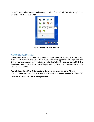During PROXKey administrator's tool running, the label of the tool will display in the right hand bottom corner as shown in Figure 4.



**Figure 3Running Label of PROXKey Tool**

## **4.2 PROXKey Tool Overview**

After the installation of the software and when the token is plugged in, the user will be advised to set the PIN as shown in Figure 5. The user should enter the appropriate PIN length between 6-32 characters and set the user PIN. Each new token has to be set with a user defined PIN. The length of the PIN should be between 6-32 (Alpha Numeric) characters. This PIN can be reset by the user later if needed.

Figure 5 shows the Set User PIN prompt and Figure 6(a) shows the successful PIN set. If the PIN is entered exceed the range of 6 to 32 characters, a warning window like Figure 6(b)

will out to tell you PIN for the token requirements.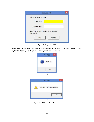| <b>Set User PIN</b>                                    |  |
|--------------------------------------------------------|--|
| Please enter User PIN                                  |  |
| User PIN:                                              |  |
| Confirm PIN:                                           |  |
| Note: The length should be between 6-32<br>characters! |  |
| Cancel<br>OK                                           |  |
|                                                        |  |

**Figure 4Setting up User PIN**

Once the proper PIN is set the dialog as shown in Figure 6 (a) is prompted and in case of invalid length of PIN setting a dialog as shown in Figure 6 (b) is prompted.





**Figure 5Set PIN Successful and Warning**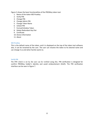Figure 3 shows the basic functionalities of the PROXKey token tool.

- 1. Name of the token-WD ProxKey
- 2. Verify PIN
- 3. Change PIN
- 4. Change Admin PIN
- 5. Change Token Name
- 6. Unlock PIN
- 7. Format/Initialize Token
- 8. Delete Redundant Key Pair
- 9. Certificate
- 10. Device Information
- 11. About

#### **WD ProxKey**

This is the default name of the token, and it is displayed on the top of the token tool software also, it can be renamed by the user. The user can rename the token to his desired name and can change it as and when he/she wants to.

#### **Verify PIN**

The PIN which is set by the user can be verified using this. PIN verification is designed for confirm PROXKey holder's identity and avoid embezzlement (theft). The PIN verification interface can be seen in Figure 7.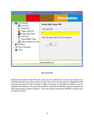| a                                                                                                                                                         | ×<br>PROXKey Token Admin--WD PROXKey                                     |  |
|-----------------------------------------------------------------------------------------------------------------------------------------------------------|--------------------------------------------------------------------------|--|
| <b>WD PROXKey</b><br>Verify PIN<br>Change PIN                                                                                                             | <b>Watchdata</b><br><b>Verify USB Token PIN</b><br><b>USB Token PIN:</b> |  |
| Change Admin PIN<br>Change Token Name<br>Unlock PIN<br>Format/Initialize Token<br>Delete Redundant Key Pair<br>Certificate<br>Device Information<br>About | Note: The range of the PIN is 6-32 characters.<br><b>OK</b>              |  |
| www.watchdata.com                                                                                                                                         |                                                                          |  |
|                                                                                                                                                           |                                                                          |  |

#### **Figure 6Verify PIN**

However the maximum User PIN error counter is set by default to 15 so the user cannot try to verify the password more than 15 times in case if the user is not fully aware or forgotten his PIN and wants to guess his PIN. As shown in Figure 8 user gets 15 attempts by default in case of forgotten PIN. However if the user still not able to verify the set PIN after 10 guess attempts the token gets locked as shown in Figure 9. The user needs to contact the PROXKey customer care to unlock the token.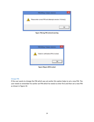

**Figure 7Wrong PIN entered warning**



**Figure 9Figure 8PIN Locked**

## **Change PIN**

If the user wants to change the PIN which was set earlier this option helps to set a new PIN. The user needs to remember his earlier set PIN which he needs to enter first and then set a new PIN as shown in Figure 10.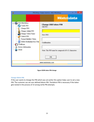| <b>Watchdata</b><br>WD PROXKey<br><b>Change USB token PIN</b><br>Verify PIN<br>Old PIN:<br>Change PIN                                                   | × |
|---------------------------------------------------------------------------------------------------------------------------------------------------------|---|
|                                                                                                                                                         |   |
| Change Admin PIN<br>Change Token Name<br>New PIN:<br><sup>1</sup> P Unlock PIN<br>Format/Initialize Token<br>Delete Redundant Key Pair<br>Confirmation: |   |
| Certificate<br>Device Information<br>About<br>Note: The PIN must be composed of 6-32 characters<br>OK<br>www.watchdata.com                              |   |

**Figure 9USB token PIN change**

## **Change Admin PIN**

If the user wants to change the PIN which was set earlier this option helps user to set a new PIN. The customer can set user defined Admin PIN. TheAdmin PIN is necessary if the token gets locked in the process of 15 wrong verify PIN attempts.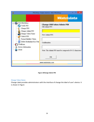| n<br>×<br>PROXKey Token Admin--WD PROXKey                                                                                                    |                                                                          |  |
|----------------------------------------------------------------------------------------------------------------------------------------------|--------------------------------------------------------------------------|--|
|                                                                                                                                              | <b>Watchdata</b>                                                         |  |
| <b>WD PROXKey</b><br>Verify PIN<br>Change PIN<br>Change Admin PIN<br>Change Token Name<br><sup>4</sup> Unlock PIN<br>Format/Initialize Token | <b>Change USB token Admin PIN</b><br>Old Admin PIN:<br>New Admin PIN:    |  |
| Delete Redundant Key Pair<br>Certificate<br>Device Information<br>About                                                                      | Confirmation:<br>Note: The Admin PIN must be composed of 6-32 characters |  |
|                                                                                                                                              | OK<br>www.watchdata.com                                                  |  |

## **Figure 10Change Admin PIN**

## **Change Token Name**

Change Label provides administrators with the interface of change the label of user's device. It is shown in Figure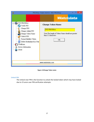| PROXKey Token Admin--WD PROXKey                                                                                                                            |                                                                                                                                                                                |  |
|------------------------------------------------------------------------------------------------------------------------------------------------------------|--------------------------------------------------------------------------------------------------------------------------------------------------------------------------------|--|
| Я<br>WD PROXKey<br>Verify PIN<br>Change PIN<br>Change Admin PIN<br>Change Token Name<br>Unlock PIN<br>Format/Initialize Token<br>Delete Redundant Key Pair | $\boldsymbol{\mathsf{x}}$<br><b>Watchdata</b><br><b>Change Token Name</b><br><b>WD PROXKey</b><br>Note:The length of Token Name should not greater<br>than 32 characters<br>OK |  |
| Certificate<br>Device Information<br>About                                                                                                                 | www.watchdata.com                                                                                                                                                              |  |

**Figure 11Change Token name**

#### **Unlock PIN**

The Unlock User PIN is the function to unlock the locked token which may have locked due to 15 wron user PIN verification attempts.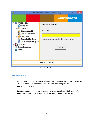| $\times$<br>Я<br>PROXKey Token Admin--WD PROXKey                    |                                                |  |
|---------------------------------------------------------------------|------------------------------------------------|--|
|                                                                     | <b>Watchdata</b>                               |  |
| WD PROXKey<br>Verify PIN<br>Change PIN                              | <b>Unlock User PIN</b>                         |  |
| Change Admin PIN<br>Change Token Name<br>Unlock PIN                 | Admin PIN:                                     |  |
| Format/Initialize Token<br>Delete Redundant Key Pair<br>Certificate | Input Admin PIN and click the "Unlock" button. |  |
| Device Information<br>About                                         | Unlock                                         |  |
|                                                                     |                                                |  |
| www.watchdata.com                                                   |                                                |  |

**Figure 12Unlock Token**

## **Format/Initialize Token**

Format token option is provided to delete all the contents of the token includig the user PIN and certificates, this option will completely delete all the passwords and the contenets of the token.

Note: User should not try to use this option, unless and until user is fully aware of the consequences, which may result in permenant deletion of digital certificate.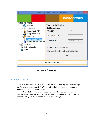| a<br>×<br>PROXKey Token Admin--WD PROXKey                                                                                                              |                                                                                                                   |                           |
|--------------------------------------------------------------------------------------------------------------------------------------------------------|-------------------------------------------------------------------------------------------------------------------|---------------------------|
| <b>WD PROXKey</b>                                                                                                                                      |                                                                                                                   | <b>Watchdata</b>          |
| Verify PIN<br>Change PIN<br>Change Admin PIN<br>Change Token Name<br>Unlock PIN<br>Format/Initialize Token<br>Delete Redundant Key Pair<br>Certificate | <b>Token Initialization</b><br>Initialization Options<br>User PIN:<br><b>User PIN Error Counter</b><br>Token name | *****<br>15<br>WD PROXKey |
| Device Information<br>About                                                                                                                            | User PIN is defaulted as 123456<br>Token name is used to mark the WD PROXKey<br>www.watchdata.com                 | OK.                       |
|                                                                                                                                                        |                                                                                                                   |                           |

**Figure 13Format/Initialize Token**

#### **Delete Redundant Key Pair**

This feature allows the user to delete the unwanted Key pairs against which the digital certificates are not generated. This feature will be helpful to clear the redundant containers or clear the redundant memory.

This function asks for the user confirmation to delete the redundant key once the user gives the confirmation the redundant key are deleted, if there are no redundant keys then the a dialog displays that there are no redundant keys.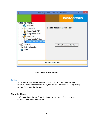



## **Certificate**

The PROXKey Token tool automatically registers the CA, CCA and also the user certificate which is imported in the token, the user need not worry about registering each certificate which he dwnloads.

## **Show Certificate**

This function shows the certificate details such as the issuer information, issued to information and validity information.